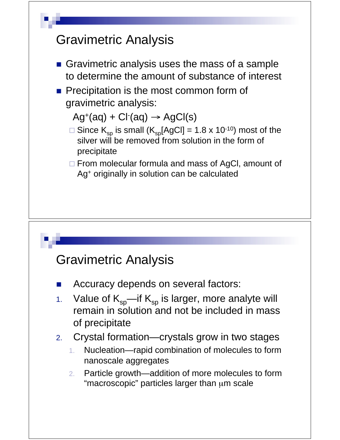# Gravimetric Analysis Gravimetric analysis uses the mass of a sample to determine the amount of substance of interest **Precipitation is the most common form of** gravimetric analysis:  $Ag^+(aq) + Cl^-(aq) \rightarrow AgCl(s)$ □ Since  $K_{sp}$  is small ( $K_{sp}[AgCl] = 1.8 \times 10^{-10}$ ) most of the silver will be removed from solution in the form of precipitate □ From molecular formula and mass of AgCl, amount of Ag+ originally in solution can be calculated

### Gravimetric Analysis

- Accuracy depends on several factors:
- 1. Value of  $K_{\rm so}$ —if  $K_{\rm so}$  is larger, more analyte will remain in solution and not be included in mass of precipitate
- 2. Crystal formation—crystals grow in two stages
	- 1. Nucleation—rapid combination of molecules to form nanoscale aggregates
	- 2. Particle growth—addition of more molecules to form "macroscopic" particles larger than μm scale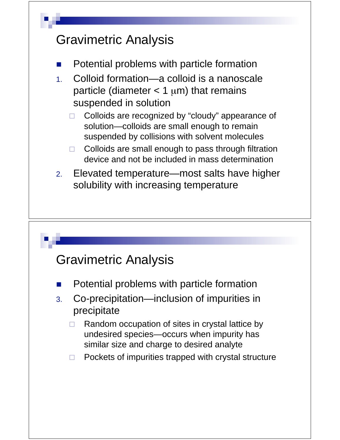

### Gravimetric Analysis

- Potential problems with particle formation
- 3. Co-precipitation—inclusion of impurities in precipitate
	- $\Box$  Random occupation of sites in crystal lattice by undesired species—occurs when impurity has similar size and charge to desired analyte
	- $\Box$ Pockets of impurities trapped with crystal structure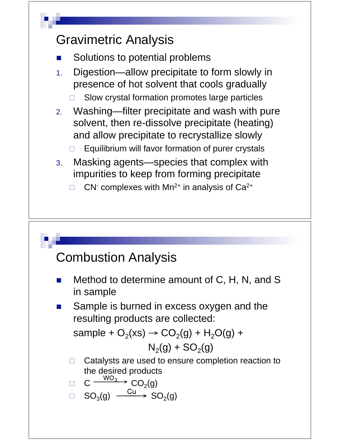

#### Combustion Analysis

- Method to determine amount of C, H, N, and S in sample
- Sample is burned in excess oxygen and the resulting products are collected:

sample +  $O_2(xs)$   $\rightarrow$   $CO_2(g)$  +  $H_2O(g)$  +

$$
N_2(g) + SO_2(g)
$$

 $\Box$  Catalysts are used to ensure completion reaction to the desired products

$$
\Box \quad C \xrightarrow{\cdots \circ 3} CO_2(g)
$$

 $\Box$  $SO_3(g) \xrightarrow{Cu} SO_2(g)$